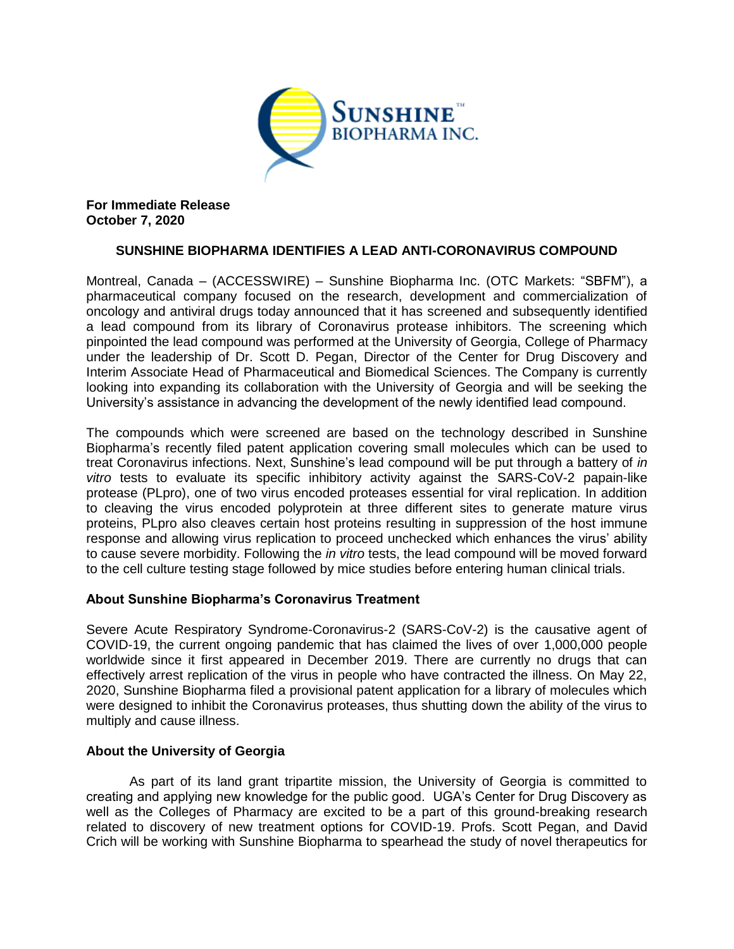

**For Immediate Release October 7, 2020**

# **SUNSHINE BIOPHARMA IDENTIFIES A LEAD ANTI-CORONAVIRUS COMPOUND**

Montreal, Canada – (ACCESSWIRE) – Sunshine Biopharma Inc. (OTC Markets: "SBFM"), a pharmaceutical company focused on the research, development and commercialization of oncology and antiviral drugs today announced that it has screened and subsequently identified a lead compound from its library of Coronavirus protease inhibitors. The screening which pinpointed the lead compound was performed at the University of Georgia, College of Pharmacy under the leadership of Dr. Scott D. Pegan, Director of the Center for Drug Discovery and Interim Associate Head of Pharmaceutical and Biomedical Sciences. The Company is currently looking into expanding its collaboration with the University of Georgia and will be seeking the University's assistance in advancing the development of the newly identified lead compound.

The compounds which were screened are based on the technology described in Sunshine Biopharma's recently filed patent application covering small molecules which can be used to treat Coronavirus infections. Next, Sunshine's lead compound will be put through a battery of *in vitro* tests to evaluate its specific inhibitory activity against the SARS-CoV-2 papain-like protease (PLpro), one of two virus encoded proteases essential for viral replication. In addition to cleaving the virus encoded polyprotein at three different sites to generate mature virus proteins, PLpro also cleaves certain host proteins resulting in suppression of the host immune response and allowing virus replication to proceed unchecked which enhances the virus' ability to cause severe morbidity. Following the *in vitro* tests, the lead compound will be moved forward to the cell culture testing stage followed by mice studies before entering human clinical trials.

## **About Sunshine Biopharma's Coronavirus Treatment**

Severe Acute Respiratory Syndrome-Coronavirus-2 (SARS-CoV-2) is the causative agent of COVID-19, the current ongoing pandemic that has claimed the lives of over 1,000,000 people worldwide since it first appeared in December 2019. There are currently no drugs that can effectively arrest replication of the virus in people who have contracted the illness. On May 22, 2020, Sunshine Biopharma filed a provisional patent application for a library of molecules which were designed to inhibit the Coronavirus proteases, thus shutting down the ability of the virus to multiply and cause illness.

## **About the University of Georgia**

As part of its land grant tripartite mission, the University of Georgia is committed to creating and applying new knowledge for the public good. UGA's Center for Drug Discovery as well as the Colleges of Pharmacy are excited to be a part of this ground-breaking research related to discovery of new treatment options for COVID-19. Profs. Scott Pegan, and David Crich will be working with Sunshine Biopharma to spearhead the study of novel therapeutics for